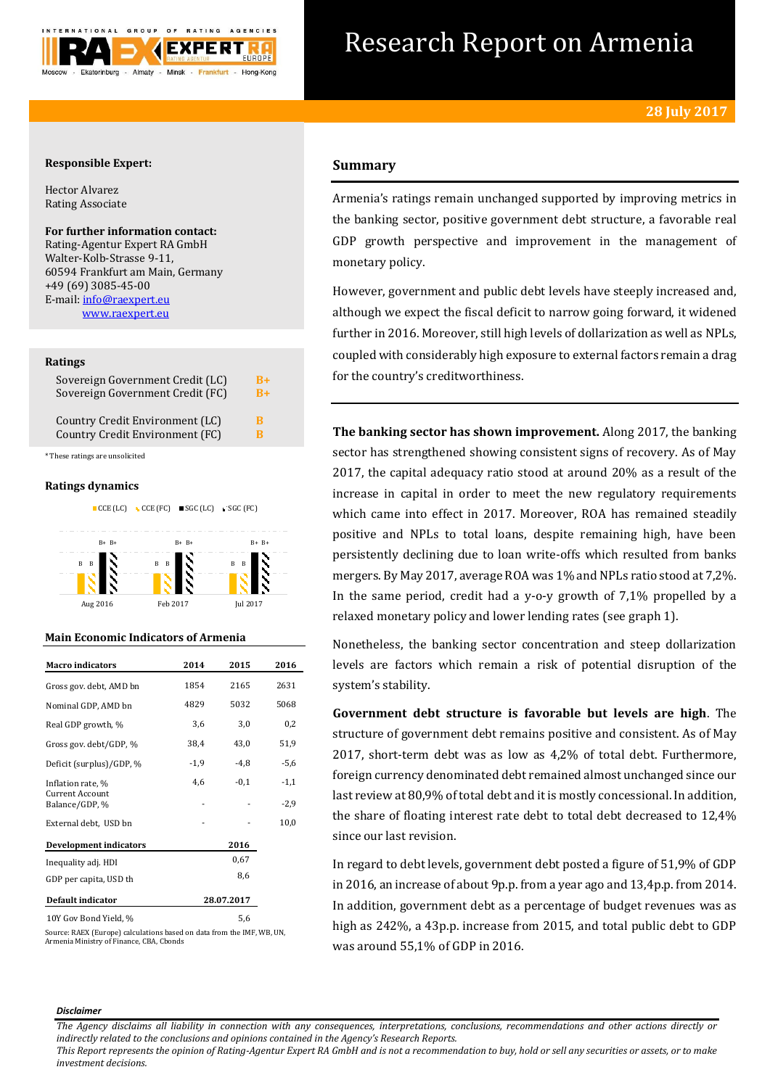

# Research Report on Armenia

## **Responsible Expert:**

Hector Alvarez Rating Associate

**For further information contact:** Rating-Agentur Expert RA GmbH Walter-Kolb-Strasse 9-11, 60594 Frankfurt am Main, Germany +49 (69) 3085-45-00 E-mail[: info@raexpert.eu](mailto:info@raexpert.eu) [www.raexpert.eu](http://raexpert.eu/)

#### **Ratings**

| Sovereign Government Credit (LC) | $B+$ |
|----------------------------------|------|
| Sovereign Government Credit (FC) | $B+$ |
| Country Credit Environment (LC)  | R    |
| Country Credit Environment (FC)  | R    |

\* These ratings are unsolicited

## **Ratings dynamics**



# **Main Economic Indicators of Armenia**

| <b>Macro</b> indicators                  | 2014   | 2015       | 2016   |
|------------------------------------------|--------|------------|--------|
| Gross gov. debt, AMD bn                  | 1854   | 2165       | 2631   |
| Nominal GDP, AMD bn                      | 4829   | 5032       | 5068   |
| Real GDP growth, %                       | 3,6    | 3,0        | 0,2    |
| Gross gov. debt/GDP, %                   | 38,4   | 43,0       | 51,9   |
| Deficit (surplus)/GDP, %                 | $-1,9$ | $-4,8$     | -5,6   |
| Inflation rate, %                        | 4,6    | $-0,1$     | $-1,1$ |
| <b>Current Account</b><br>Balance/GDP, % |        |            | $-2,9$ |
| External debt, USD bn                    |        |            | 10,0   |
| Development indicators                   |        | 2016       |        |
| Inequality adj. HDI                      |        | 0,67       |        |
| GDP per capita, USD th                   |        | 8,6        |        |
| Default indicator                        |        | 28.07.2017 |        |
| 10Y Gov Bond Yield, %                    |        | 5,6        |        |

Source: RAEX (Europe) calculations based on data from the IMF, WB, UN, Armenia Ministry of Finance, CBA, Cbonds

# **Summary**

Armenia's ratings remain unchanged supported by improving metrics in the banking sector, positive government debt structure, a favorable real GDP growth perspective and improvement in the management of monetary policy.

However, government and public debt levels have steeply increased and, although we expect the fiscal deficit to narrow going forward, it widened further in 2016. Moreover, still high levels of dollarization as well as NPLs, coupled with considerably high exposure to external factors remain a drag for the country's creditworthiness.

**The banking sector has shown improvement.** Along 2017, the banking sector has strengthened showing consistent signs of recovery. As of May 2017, the capital adequacy ratio stood at around 20% as a result of the increase in capital in order to meet the new regulatory requirements which came into effect in 2017. Moreover, ROA has remained steadily positive and NPLs to total loans, despite remaining high, have been persistently declining due to loan write-offs which resulted from banks mergers. By May 2017, average ROA was 1% and NPLs ratio stood at 7,2%. In the same period, credit had a y-o-y growth of  $7.1\%$  propelled by a relaxed monetary policy and lower lending rates (see graph 1).

Nonetheless, the banking sector concentration and steep dollarization levels are factors which remain a risk of potential disruption of the system's stability.

**Government debt structure is favorable but levels are high**. The structure of government debt remains positive and consistent. As of May 2017, short-term debt was as low as 4,2% of total debt. Furthermore, foreign currency denominated debt remained almost unchanged since our last review at 80,9% of total debt and it is mostly concessional. In addition, the share of floating interest rate debt to total debt decreased to 12,4% since our last revision.

In regard to debt levels, government debt posted a figure of 51,9% of GDP in 2016, an increase of about 9p.p. from a year ago and 13,4p.p. from 2014. In addition, government debt as a percentage of budget revenues was as high as 242%, a 43p.p. increase from 2015, and total public debt to GDP was around 55,1% of GDP in 2016.

#### *Disclaimer*

*The Agency disclaims all liability in connection with any consequences, interpretations, conclusions, recommendations and other actions directly or indirectly related to the conclusions and opinions contained in the Agency's Research Reports.*

*This Report represents the opinion of Rating-Agentur Expert RA GmbH and is not a recommendation to buy, hold or sell any securities or assets, or to make investment decisions.*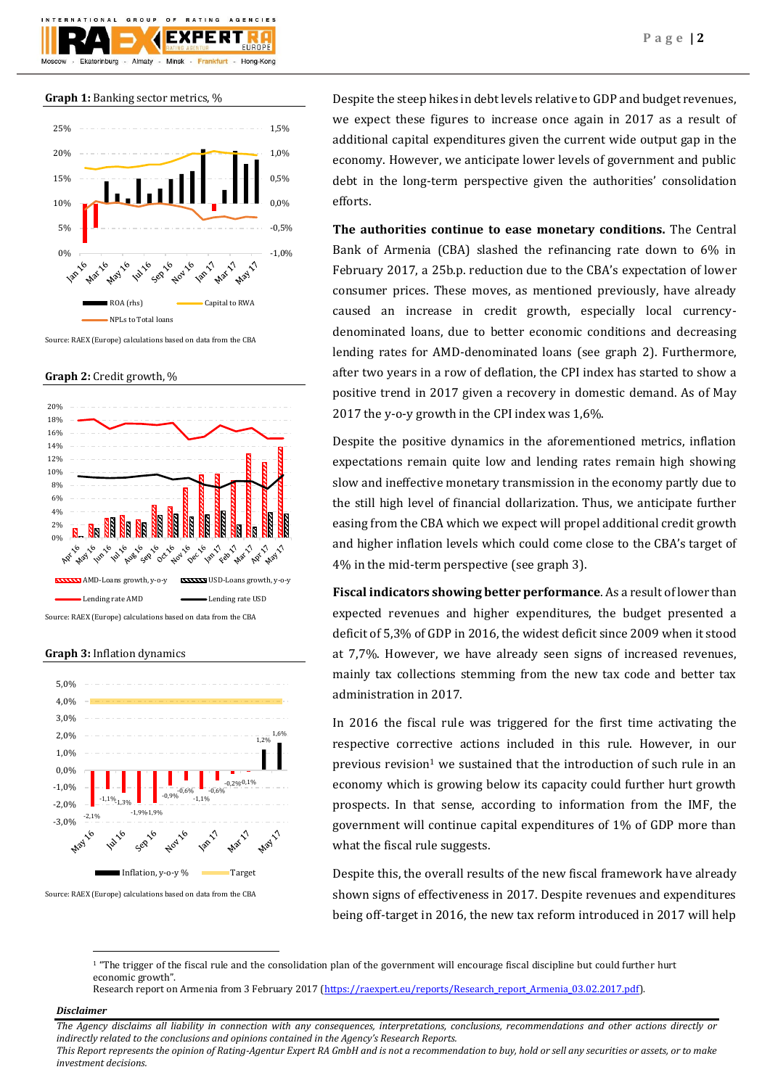





Source: RAEX (Europe) calculations based on data from the CBA

**Graph 2:** Credit growth, %



Source: RAEX (Europe) calculations based on data from the CBA

**Graph 3:** Inflation dynamics



Source: RAEX (Europe) calculations based on data from the CBA

Despite the steep hikes in debt levels relative to GDP and budget revenues, we expect these figures to increase once again in 2017 as a result of additional capital expenditures given the current wide output gap in the economy. However, we anticipate lower levels of government and public debt in the long-term perspective given the authorities' consolidation efforts.

**The authorities continue to ease monetary conditions.** The Central Bank of Armenia (CBA) slashed the refinancing rate down to 6% in February 2017, a 25b.p. reduction due to the CBA's expectation of lower consumer prices. These moves, as mentioned previously, have already caused an increase in credit growth, especially local currencydenominated loans, due to better economic conditions and decreasing lending rates for AMD-denominated loans (see graph 2). Furthermore, after two years in a row of deflation, the CPI index has started to show a positive trend in 2017 given a recovery in domestic demand. As of May 2017 the y-o-y growth in the CPI index was 1,6%.

Despite the positive dynamics in the aforementioned metrics, inflation expectations remain quite low and lending rates remain high showing slow and ineffective monetary transmission in the economy partly due to the still high level of financial dollarization. Thus, we anticipate further easing from the CBA which we expect will propel additional credit growth and higher inflation levels which could come close to the CBA's target of 4% in the mid-term perspective (see graph 3).

**Fiscal indicators showing better performance**. As a result of lower than expected revenues and higher expenditures, the budget presented a deficit of 5,3% of GDP in 2016, the widest deficit since 2009 when it stood at 7,7%. However, we have already seen signs of increased revenues, mainly tax collections stemming from the new tax code and better tax administration in 2017.

In 2016 the fiscal rule was triggered for the first time activating the respective corrective actions included in this rule. However, in our previous revision<sup>1</sup> we sustained that the introduction of such rule in an economy which is growing below its capacity could further hurt growth prospects. In that sense, according to information from the IMF, the government will continue capital expenditures of 1% of GDP more than what the fiscal rule suggests.

Despite this, the overall results of the new fiscal framework have already shown signs of effectiveness in 2017. Despite revenues and expenditures being off-target in 2016, the new tax reform introduced in 2017 will help

## *Disclaimer*

1

*The Agency disclaims all liability in connection with any consequences, interpretations, conclusions, recommendations and other actions directly or indirectly related to the conclusions and opinions contained in the Agency's Research Reports.*

*This Report represents the opinion of Rating-Agentur Expert RA GmbH and is not a recommendation to buy, hold or sell any securities or assets, or to make investment decisions.*

<sup>&</sup>lt;sup>1</sup> "The trigger of the fiscal rule and the consolidation plan of the government will encourage fiscal discipline but could further hurt economic growth".

Research report on Armenia from 3 February 2017 [\(https://raexpert.eu/reports/Research\\_report\\_Armenia\\_03.02.2017.pdf\)](https://raexpert.eu/reports/Research_report_Armenia_03.02.2017.pdf).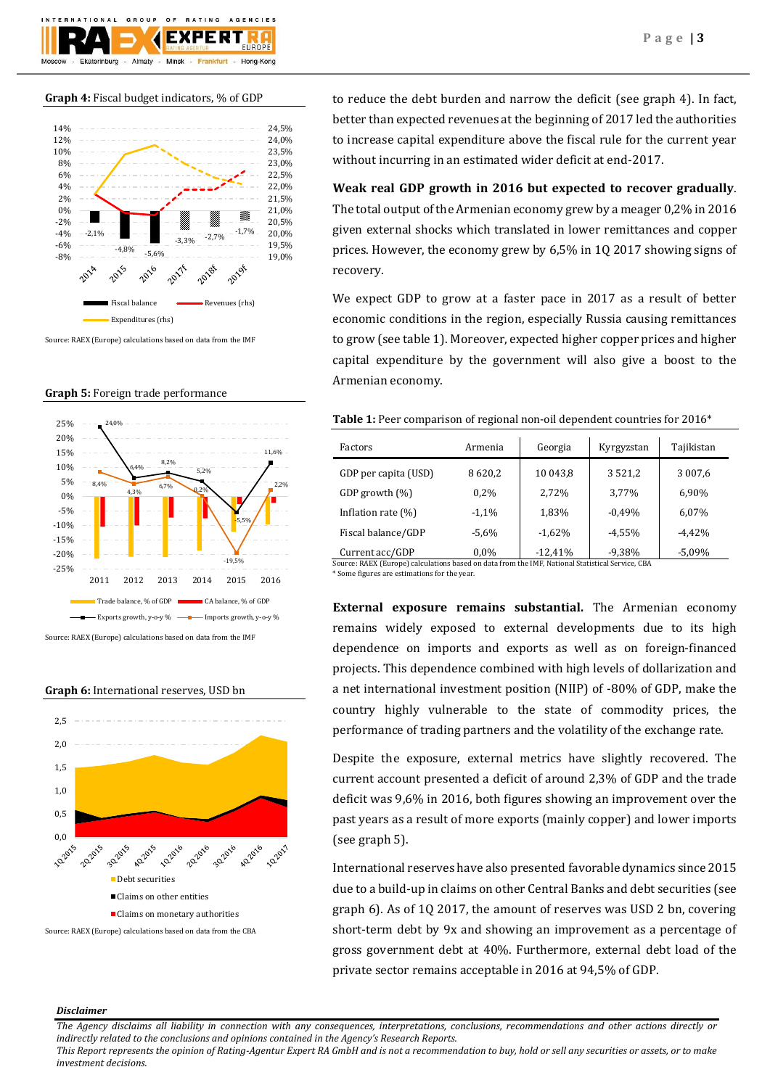

## **Graph 4:** Fiscal budget indicators, % of GDP



Source: RAEX (Europe) calculations based on data from the IMF

#### **Graph 5:** Foreign trade performance



Source: RAEX (Europe) calculations based on data from the IMF

#### **Graph 6:** International reserves, USD bn



Source: RAEX (Europe) calculations based on data from the CBA

to reduce the debt burden and narrow the deficit (see graph 4). In fact, better than expected revenues at the beginning of 2017 led the authorities to increase capital expenditure above the fiscal rule for the current year without incurring in an estimated wider deficit at end-2017.

# **Weak real GDP growth in 2016 but expected to recover gradually**.

The total output of the Armenian economy grew by a meager 0,2% in 2016 given external shocks which translated in lower remittances and copper prices. However, the economy grew by 6,5% in 1Q 2017 showing signs of recovery.

We expect GDP to grow at a faster pace in 2017 as a result of better economic conditions in the region, especially Russia causing remittances to grow (see table 1). Moreover, expected higher copper prices and higher capital expenditure by the government will also give a boost to the Armenian economy.

## Table 1: Peer comparison of regional non-oil dependent countries for 2016<sup>\*</sup>

| Factors               | Armenia  | Georgia   | Kyrgyzstan  | Tajikistan |
|-----------------------|----------|-----------|-------------|------------|
| GDP per capita (USD)  | 8620,2   | 10 043,8  | 3 5 2 1 , 2 | 3 0 0 7,6  |
| GDP growth $(\%)$     | $0.2\%$  | 2,72%     | 3.77%       | 6,90%      |
| Inflation rate $(\%)$ | $-1,1%$  | 1,83%     | $-0.49%$    | 6,07%      |
| Fiscal balance/GDP    | $-5.6\%$ | $-1,62%$  | $-4.55%$    | $-4.42%$   |
| Current acc/GDP       | $0.0\%$  | $-12,41%$ | $-9,38%$    | $-5,09%$   |

Source: RAEX (Europe) calculations based on data from the IMF, National Statistical Service, CBA

\* Some figures are estimations for the year.

**External exposure remains substantial.** The Armenian economy remains widely exposed to external developments due to its high dependence on imports and exports as well as on foreign-financed projects. This dependence combined with high levels of dollarization and a net international investment position (NIIP) of -80% of GDP, make the country highly vulnerable to the state of commodity prices, the performance of trading partners and the volatility of the exchange rate.

Despite the exposure, external metrics have slightly recovered. The current account presented a deficit of around 2,3% of GDP and the trade deficit was 9,6% in 2016, both figures showing an improvement over the past years as a result of more exports (mainly copper) and lower imports (see graph 5).

International reserves have also presented favorable dynamics since 2015 due to a build-up in claims on other Central Banks and debt securities (see graph 6). As of 1Q 2017, the amount of reserves was USD 2 bn, covering short-term debt by 9x and showing an improvement as a percentage of gross government debt at 40%. Furthermore, external debt load of the private sector remains acceptable in 2016 at 94,5% of GDP.

#### *Disclaimer*

*The Agency disclaims all liability in connection with any consequences, interpretations, conclusions, recommendations and other actions directly or indirectly related to the conclusions and opinions contained in the Agency's Research Reports.*

*This Report represents the opinion of Rating-Agentur Expert RA GmbH and is not a recommendation to buy, hold or sell any securities or assets, or to make investment decisions.*